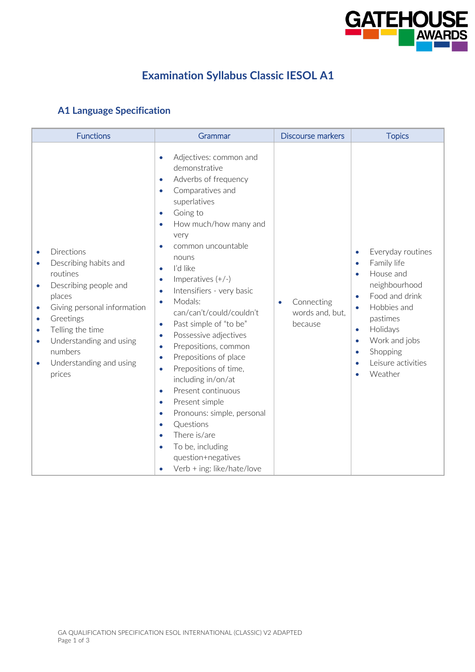

## **Examination Syllabus Classic IESOL A1**

## **A1 Language Specification**

| <b>Functions</b>                                                                                                                                                                                                                                                                                                                      | Grammar                                                                                                                                                                                                                                                                                                                                                                                                                                                                                                                                                                                                                                                                                                                                                                                                                                                                                                            | <b>Discourse markers</b>                              | <b>Topics</b>                                                                                                                                                                                                                                                                                      |
|---------------------------------------------------------------------------------------------------------------------------------------------------------------------------------------------------------------------------------------------------------------------------------------------------------------------------------------|--------------------------------------------------------------------------------------------------------------------------------------------------------------------------------------------------------------------------------------------------------------------------------------------------------------------------------------------------------------------------------------------------------------------------------------------------------------------------------------------------------------------------------------------------------------------------------------------------------------------------------------------------------------------------------------------------------------------------------------------------------------------------------------------------------------------------------------------------------------------------------------------------------------------|-------------------------------------------------------|----------------------------------------------------------------------------------------------------------------------------------------------------------------------------------------------------------------------------------------------------------------------------------------------------|
| Directions<br>$\bullet$<br>Describing habits and<br>$\bullet$<br>routines<br>Describing people and<br>$\bullet$<br>places<br>Giving personal information<br>$\bullet$<br>Greetings<br>$\bullet$<br>Telling the time<br>$\bullet$<br>Understanding and using<br>$\bullet$<br>numbers<br>Understanding and using<br>$\bullet$<br>prices | Adjectives: common and<br>$\bullet$<br>demonstrative<br>Adverbs of frequency<br>$\bullet$<br>Comparatives and<br>$\bullet$<br>superlatives<br>Going to<br>$\bullet$<br>How much/how many and<br>$\bullet$<br>very<br>common uncountable<br>$\bullet$<br>nouns<br>I'd like<br>$\bullet$<br>Imperatives $(+/-)$<br>$\bullet$<br>Intensifiers - very basic<br>$\bullet$<br>Modals:<br>$\bullet$<br>can/can't/could/couldn't<br>Past simple of "to be"<br>$\bullet$<br>Possessive adjectives<br>$\bullet$<br>Prepositions, common<br>$\bullet$<br>Prepositions of place<br>$\bullet$<br>Prepositions of time,<br>$\bullet$<br>including in/on/at<br>Present continuous<br>$\bullet$<br>Present simple<br>$\bullet$<br>Pronouns: simple, personal<br>$\bullet$<br>Questions<br>$\bullet$<br>There is/are<br>$\bullet$<br>To be, including<br>$\bullet$<br>question+negatives<br>Verb + ing: like/hate/love<br>$\bullet$ | Connecting<br>$\bullet$<br>words and, but,<br>because | Everyday routines<br>$\bullet$<br>Family life<br>$\bullet$<br>House and<br>$\bullet$<br>neighbourhood<br>Food and drink<br>$\bullet$<br>Hobbies and<br>$\bullet$<br>pastimes<br>Holidays<br>$\bullet$<br>Work and jobs<br>$\bullet$<br>Shopping<br>$\bullet$<br>Leisure activities<br>۰<br>Weather |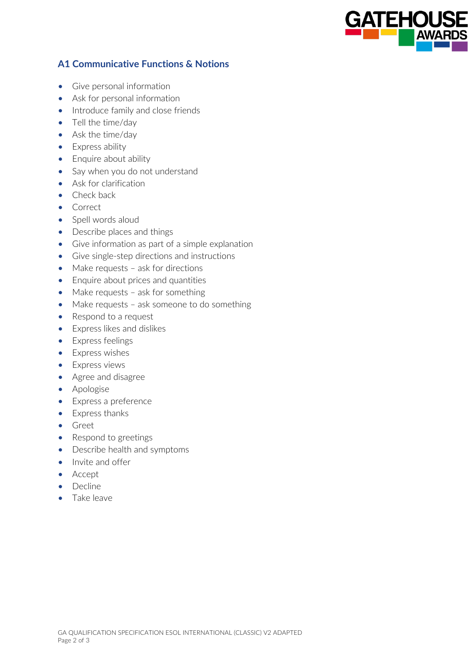

## **A1 Communicative Functions & Notions**

- Give personal information
- Ask for personal information
- Introduce family and close friends
- Tell the time/day
- Ask the time/day
- Express ability
- Enquire about ability
- Say when you do not understand
- Ask for clarification
- Check back
- Correct
- Spell words aloud
- Describe places and things
- Give information as part of a simple explanation
- Give single-step directions and instructions
- Make requests ask for directions
- Enquire about prices and quantities
- Make requests ask for something
- Make requests ask someone to do something
- Respond to a request
- Express likes and dislikes
- Express feelings
- Express wishes
- Express views
- Agree and disagree
- Apologise
- Express a preference
- Express thanks
- Greet
- Respond to greetings
- Describe health and symptoms
- Invite and offer
- Accept
- Decline
- Take leave